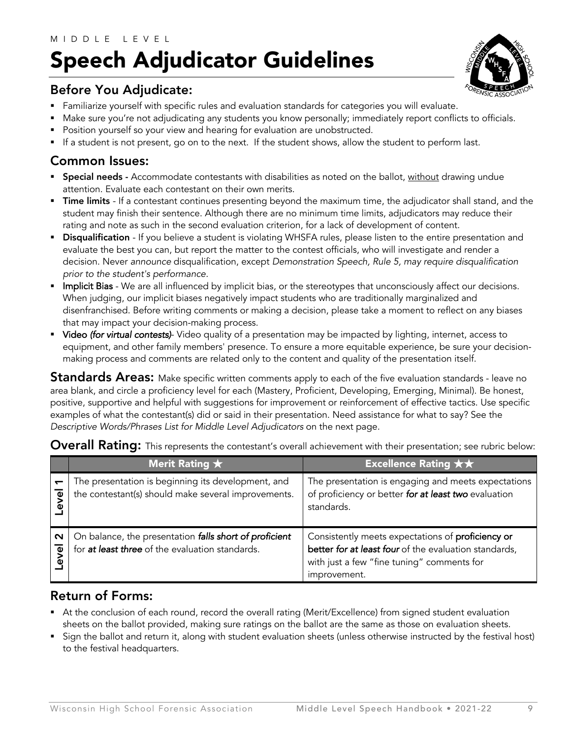### MIDDLE LEVEL Speech Adjudicator Guidelines



#### Before You Adjudicate:

- **•** Familiarize yourself with specific rules and evaluation standards for categories you will evaluate.
- § Make sure you're not adjudicating any students you know personally; immediately report conflicts to officials.
- Position yourself so your view and hearing for evaluation are unobstructed.
- If a student is not present, go on to the next. If the student shows, allow the student to perform last.

#### Common Issues:

- Special needs Accommodate contestants with disabilities as noted on the ballot, without drawing undue attention. Evaluate each contestant on their own merits.
- **Time limits** If a contestant continues presenting beyond the maximum time, the adjudicator shall stand, and the student may finish their sentence. Although there are no minimum time limits, adjudicators may reduce their rating and note as such in the second evaluation criterion, for a lack of development of content.
- **Disqualification** If you believe a student is violating WHSFA rules, please listen to the entire presentation and evaluate the best you can, but report the matter to the contest officials, who will investigate and render a decision. Never *announce* disqualification, except *Demonstration Speech, Rule 5, may require disqualification prior to the student's performance.*
- Implicit Bias We are all influenced by implicit bias, or the stereotypes that unconsciously affect our decisions. When judging, our implicit biases negatively impact students who are traditionally marginalized and disenfranchised. Before writing comments or making a decision, please take a moment to reflect on any biases that may impact your decision-making process.
- § Video *(for virtual contests)* Video quality of a presentation may be impacted by lighting, internet, access to equipment, and other family members' presence. To ensure a more equitable experience, be sure your decisionmaking process and comments are related only to the content and quality of the presentation itself.

Standards Areas: Make specific written comments apply to each of the five evaluation standards - leave no area blank, and circle a proficiency level for each (Mastery, Proficient, Developing, Emerging, Minimal). Be honest, positive, supportive and helpful with suggestions for improvement or reinforcement of effective tactics. Use specific examples of what the contestant(s) did or said in their presentation. Need assistance for what to say? See the *Descriptive Words/Phrases List for Middle Level Adjudicators* on the next page*.*

|                               | Merit Rating $\star$                                                                                      | Excellence Rating $\star\star$                                                                                                                                           |
|-------------------------------|-----------------------------------------------------------------------------------------------------------|--------------------------------------------------------------------------------------------------------------------------------------------------------------------------|
| ত<br>ิจี                      | The presentation is beginning its development, and<br>the contestant(s) should make several improvements. | The presentation is engaging and meets expectations<br>of proficiency or better for at least two evaluation<br>standards.                                                |
| $\mathbf{\Omega}$<br>৾৽<br>ຈິ | On balance, the presentation falls short of proficient<br>for at least three of the evaluation standards. | Consistently meets expectations of proficiency or<br>better for at least four of the evaluation standards,<br>with just a few "fine tuning" comments for<br>improvement. |

#### **Overall Rating:** This represents the contestant's overall achievement with their presentation; see rubric below:

#### Return of Forms:

- At the conclusion of each round, record the overall rating (Merit/Excellence) from signed student evaluation sheets on the ballot provided, making sure ratings on the ballot are the same as those on evaluation sheets.
- § Sign the ballot and return it, along with student evaluation sheets (unless otherwise instructed by the festival host) to the festival headquarters.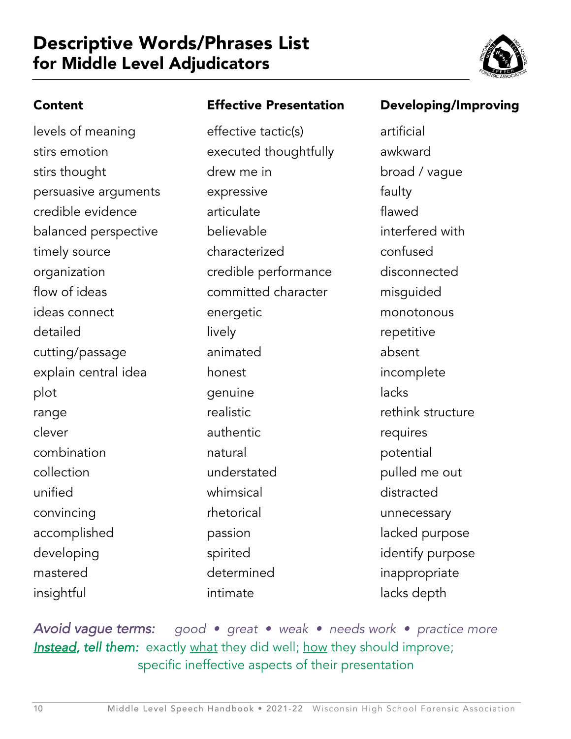## Descriptive Words/Phrases List for Middle Level Adjudicators



#### Content

levels of meaning stirs emotion stirs thought persuasive arguments credible evidence balanced perspective timely source organization flow of ideas ideas connect detailed cutting/passage explain central idea plot range clever combination collection unified convincing accomplished developing mastered insightful

#### Effective Presentation

effective tactic(s) executed thoughtfully drew me in expressive articulate believable characterized credible performance committed character energetic lively animated honest genuine realistic authentic natural understated whimsical rhetorical passion spirited determined intimate

#### Developing/Improving

artificial awkward broad / vague faulty flawed interfered with confused disconnected misguided monotonous repetitive absent incomplete lacks rethink structure requires potential pulled me out distracted unnecessary lacked purpose identify purpose inappropriate lacks depth

*Avoid vague terms: good • great • weak • needs work • practice more*  **Instead, tell them:** exactly what they did well; how they should improve; specific ineffective aspects of their presentation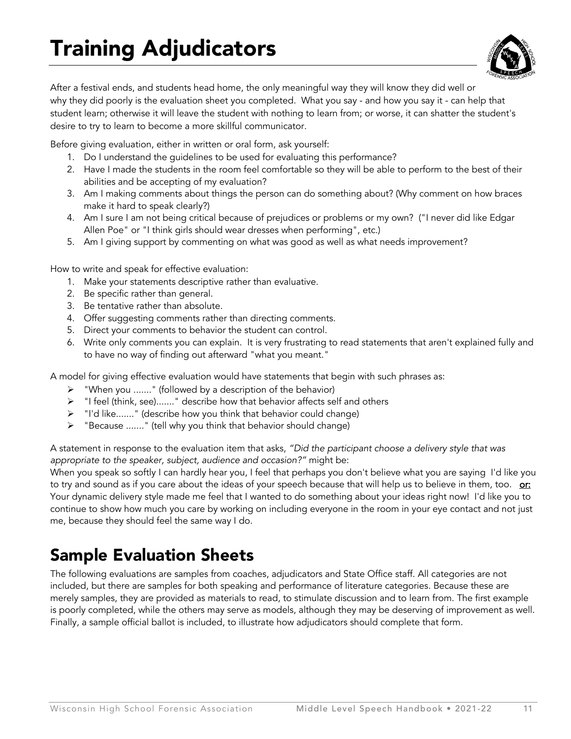

After a festival ends, and students head home, the only meaningful way they will know they did well or why they did poorly is the evaluation sheet you completed. What you say - and how you say it - can help that student learn; otherwise it will leave the student with nothing to learn from; or worse, it can shatter the student's desire to try to learn to become a more skillful communicator.

Before giving evaluation, either in written or oral form, ask yourself:

- 1. Do I understand the guidelines to be used for evaluating this performance?
- 2. Have I made the students in the room feel comfortable so they will be able to perform to the best of their abilities and be accepting of my evaluation?
- 3. Am I making comments about things the person can do something about? (Why comment on how braces make it hard to speak clearly?)
- 4. Am I sure I am not being critical because of prejudices or problems or my own? ("I never did like Edgar Allen Poe" or "I think girls should wear dresses when performing", etc.)
- 5. Am I giving support by commenting on what was good as well as what needs improvement?

How to write and speak for effective evaluation:

- 1. Make your statements descriptive rather than evaluative.
- 2. Be specific rather than general.
- 3. Be tentative rather than absolute.
- 4. Offer suggesting comments rather than directing comments.
- 5. Direct your comments to behavior the student can control.
- 6. Write only comments you can explain. It is very frustrating to read statements that aren't explained fully and to have no way of finding out afterward "what you meant."

A model for giving effective evaluation would have statements that begin with such phrases as:

- Ø "When you ......." (followed by a description of the behavior)
- $\triangleright$  "I feel (think, see)......." describe how that behavior affects self and others
- Ø "I'd like......." (describe how you think that behavior could change)
- Ø "Because ......." (tell why you think that behavior should change)

A statement in response to the evaluation item that asks, *"Did the participant choose a delivery style that was appropriate to the speaker, subject, audience and occasion?"* might be:

When you speak so softly I can hardly hear you, I feel that perhaps you don't believe what you are saying I'd like you to try and sound as if you care about the ideas of your speech because that will help us to believe in them, too. or: Your dynamic delivery style made me feel that I wanted to do something about your ideas right now! I'd like you to continue to show how much you care by working on including everyone in the room in your eye contact and not just me, because they should feel the same way I do.

## Sample Evaluation Sheets

The following evaluations are samples from coaches, adjudicators and State Office staff. All categories are not included, but there are samples for both speaking and performance of literature categories. Because these are merely samples, they are provided as materials to read, to stimulate discussion and to learn from. The first example is poorly completed, while the others may serve as models, although they may be deserving of improvement as well. Finally, a sample official ballot is included, to illustrate how adjudicators should complete that form.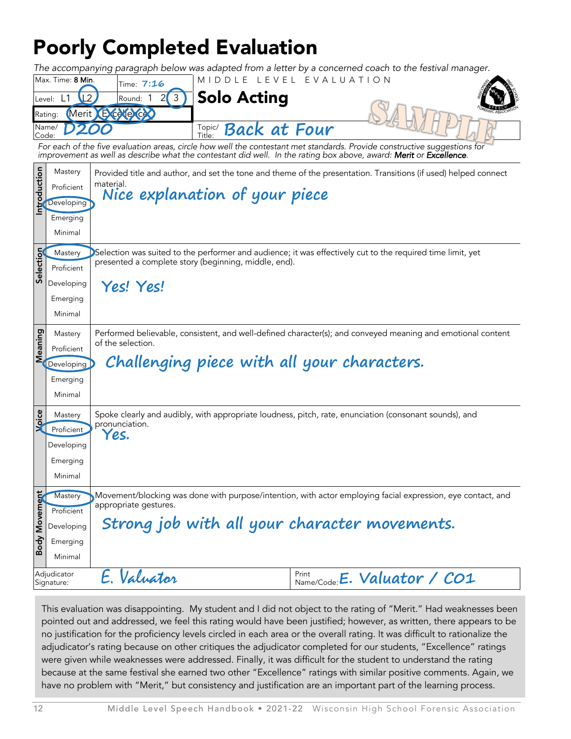## Poorly Completed Evaluation

*The accompanying paragraph below was adapted from a letter by a concerned coach to the festival manager.*

| Max. Time: 8 Min. | Time: 7:16  | MIDDIF IFVFI FVAIUATION                       |  |
|-------------------|-------------|-----------------------------------------------|--|
| Level:            | ີ<br>Round: | <b>Solo Acting</b>                            |  |
| Rating:           |             |                                               |  |
| Name/<br>Code:    |             | <b>Back at Four</b><br>Topic/<br>$\tau$ itle: |  |

*For each of the five evaluation areas, circle how well the contestant met standards. Provide constructive suggestions for*  improvement as well as describe what the contestant did well. In the rating box above, award: **Merit** or **Excellence**.

|                      | Mastery                   |                                                                                                            | Provided title and author, and set the tone and theme of the presentation. Transitions (if used) helped connect |  |  |  |  |
|----------------------|---------------------------|------------------------------------------------------------------------------------------------------------|-----------------------------------------------------------------------------------------------------------------|--|--|--|--|
| Introduction         | Proficient                | material.<br>Nice explanation of your piece                                                                |                                                                                                                 |  |  |  |  |
|                      | Developing                |                                                                                                            |                                                                                                                 |  |  |  |  |
|                      | Emerging                  |                                                                                                            |                                                                                                                 |  |  |  |  |
|                      | Minimal                   |                                                                                                            |                                                                                                                 |  |  |  |  |
|                      | Mastery                   | Selection was suited to the performer and audience; it was effectively cut to the required time limit, yet |                                                                                                                 |  |  |  |  |
| Selection            | Proficient                | presented a complete story (beginning, middle, end).                                                       |                                                                                                                 |  |  |  |  |
|                      | Developing                | Yes! Yes!                                                                                                  |                                                                                                                 |  |  |  |  |
|                      | Emerging                  |                                                                                                            |                                                                                                                 |  |  |  |  |
|                      | Minimal                   |                                                                                                            |                                                                                                                 |  |  |  |  |
|                      | Mastery                   |                                                                                                            | Performed believable, consistent, and well-defined character(s); and conveyed meaning and emotional content     |  |  |  |  |
| Meaning              | Proficient                | of the selection.                                                                                          |                                                                                                                 |  |  |  |  |
|                      | Developing                | Challenging piece with all your characters.                                                                |                                                                                                                 |  |  |  |  |
|                      | Emerging                  |                                                                                                            |                                                                                                                 |  |  |  |  |
|                      | Minimal                   |                                                                                                            |                                                                                                                 |  |  |  |  |
| Xpice                | Mastery                   | Spoke clearly and audibly, with appropriate loudness, pitch, rate, enunciation (consonant sounds), and     |                                                                                                                 |  |  |  |  |
|                      | Proficient                | pronunciation.<br>Yes.                                                                                     |                                                                                                                 |  |  |  |  |
|                      | Developing                |                                                                                                            |                                                                                                                 |  |  |  |  |
|                      | Emerging                  |                                                                                                            |                                                                                                                 |  |  |  |  |
|                      | Minimal                   |                                                                                                            |                                                                                                                 |  |  |  |  |
|                      | Mastery                   |                                                                                                            | Movement/blocking was done with purpose/intention, with actor employing facial expression, eye contact, and     |  |  |  |  |
|                      | Proficient                | appropriate gestures.                                                                                      |                                                                                                                 |  |  |  |  |
|                      | Developing                | Strong job with all your character movements.                                                              |                                                                                                                 |  |  |  |  |
| <b>Body Movement</b> | Emerging                  |                                                                                                            |                                                                                                                 |  |  |  |  |
|                      | Minimal                   |                                                                                                            |                                                                                                                 |  |  |  |  |
|                      | Adjudicator<br>Signature: | E. Valuator                                                                                                | Print<br>$P_{\text{Name/Code}}$ : <b>E.</b> Valuator / CO1                                                      |  |  |  |  |
|                      |                           |                                                                                                            |                                                                                                                 |  |  |  |  |

This evaluation was disappointing. My student and I did not object to the rating of "Merit." Had weaknesses been pointed out and addressed, we feel this rating would have been justified; however, as written, there appears to be no justification for the proficiency levels circled in each area or the overall rating. It was difficult to rationalize the adjudicator's rating because on other critiques the adjudicator completed for our students, "Excellence" ratings were given while weaknesses were addressed. Finally, it was difficult for the student to understand the rating because at the same festival she earned two other "Excellence" ratings with similar positive comments. Again, we have no problem with "Merit," but consistency and justification are an important part of the learning process.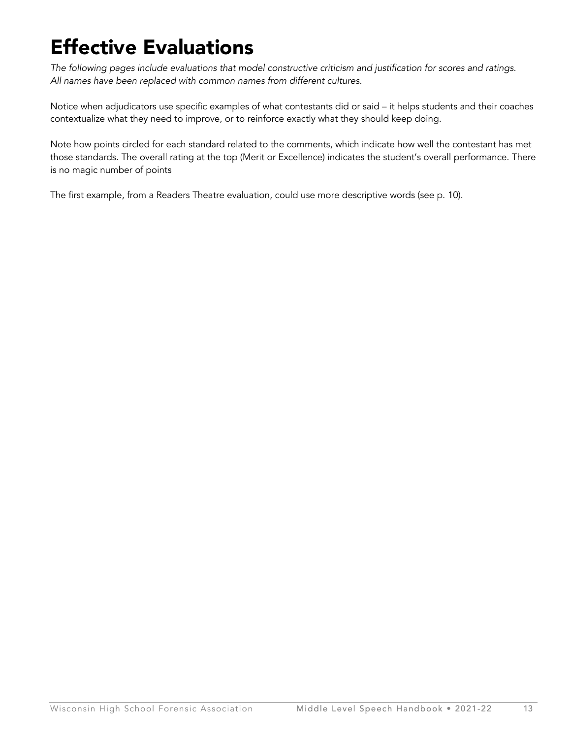## Effective Evaluations

*The following pages include evaluations that model constructive criticism and justification for scores and ratings. All names have been replaced with common names from different cultures.*

Notice when adjudicators use specific examples of what contestants did or said – it helps students and their coaches contextualize what they need to improve, or to reinforce exactly what they should keep doing.

Note how points circled for each standard related to the comments, which indicate how well the contestant has met those standards. The overall rating at the top (Merit or Excellence) indicates the student's overall performance. There is no magic number of points

The first example, from a Readers Theatre evaluation, could use more descriptive words (see p. 10).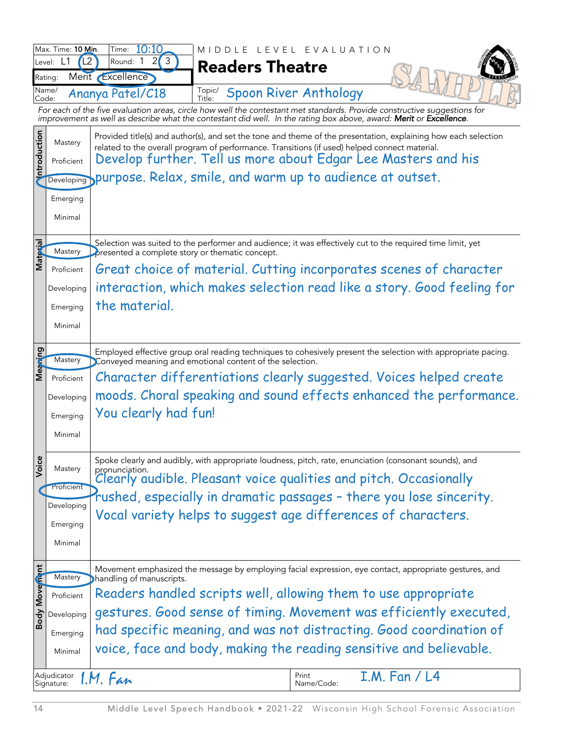|                | Max. Time: 10 Min.<br>L <sub>2</sub><br>Level: L1 | 10:10<br>Time:<br>$\overline{2}$<br>3<br>Round: 1                                                                                                                                                               | MIDDLE LEVEL EVALUATION |       |                              |                      |                                                                        |  |
|----------------|---------------------------------------------------|-----------------------------------------------------------------------------------------------------------------------------------------------------------------------------------------------------------------|-------------------------|-------|------------------------------|----------------------|------------------------------------------------------------------------|--|
|                | Rating:                                           | Merit Excellence                                                                                                                                                                                                | <b>Readers Theatre</b>  |       |                              |                      |                                                                        |  |
|                | Name/                                             | Ananya Patel/C18                                                                                                                                                                                                | Topic/                  |       | <b>Spoon River Anthology</b> |                      |                                                                        |  |
| Code:          |                                                   | For each of the five evaluation areas, circle how well the contestant met standards. Provide constructive suggestions for                                                                                       | Title:                  |       |                              |                      |                                                                        |  |
|                |                                                   | improvement as well as describe what the contestant did well. In the rating box above, award: Merit or Excellence.                                                                                              |                         |       |                              |                      |                                                                        |  |
| ntroduction    | Mastery                                           | Provided title(s) and author(s), and set the tone and theme of the presentation, explaining how each selection<br>related to the overall program of performance. Transitions (if used) helped connect material. |                         |       |                              |                      |                                                                        |  |
|                | Proficient                                        | Develop further. Tell us more about Edgar Lee Masters and his                                                                                                                                                   |                         |       |                              |                      |                                                                        |  |
|                | Developing                                        | purpose. Relax, smile, and warm up to audience at outset.                                                                                                                                                       |                         |       |                              |                      |                                                                        |  |
|                | Emerging                                          |                                                                                                                                                                                                                 |                         |       |                              |                      |                                                                        |  |
|                | Minimal                                           |                                                                                                                                                                                                                 |                         |       |                              |                      |                                                                        |  |
|                |                                                   |                                                                                                                                                                                                                 |                         |       |                              |                      |                                                                        |  |
| Material       | Mastery                                           | Selection was suited to the performer and audience; it was effectively cut to the required time limit, yet<br>presented a complete story or thematic concept.                                                   |                         |       |                              |                      |                                                                        |  |
|                | Proficient                                        | Great choice of material. Cutting incorporates scenes of character                                                                                                                                              |                         |       |                              |                      |                                                                        |  |
|                | Developing                                        |                                                                                                                                                                                                                 |                         |       |                              |                      | interaction, which makes selection read like a story. Good feeling for |  |
|                | Emerging                                          | the material.                                                                                                                                                                                                   |                         |       |                              |                      |                                                                        |  |
|                | Minimal                                           |                                                                                                                                                                                                                 |                         |       |                              |                      |                                                                        |  |
|                |                                                   |                                                                                                                                                                                                                 |                         |       |                              |                      |                                                                        |  |
| Meaning        | Mastery                                           | Employed effective group oral reading techniques to cohesively present the selection with appropriate pacing.<br>Conveyed meaning and emotional content of the selection.                                       |                         |       |                              |                      |                                                                        |  |
|                | Proficient                                        | Character differentiations clearly suggested. Voices helped create                                                                                                                                              |                         |       |                              |                      |                                                                        |  |
|                | Developing                                        | moods. Choral speaking and sound effects enhanced the performance.                                                                                                                                              |                         |       |                              |                      |                                                                        |  |
|                | Emerging                                          | You clearly had fun!                                                                                                                                                                                            |                         |       |                              |                      |                                                                        |  |
|                | Minimal                                           |                                                                                                                                                                                                                 |                         |       |                              |                      |                                                                        |  |
|                |                                                   |                                                                                                                                                                                                                 |                         |       |                              |                      |                                                                        |  |
| Voice          | Mastery                                           | Spoke clearly and audibly, with appropriate loudness, pitch, rate, enunciation (consonant sounds), and                                                                                                          |                         |       |                              |                      |                                                                        |  |
|                | Proficient                                        | pronunciation.<br>Clearly audible. Pleasant voice qualities and pitch. Occasionally                                                                                                                             |                         |       |                              |                      |                                                                        |  |
|                | Developing                                        | rushed, especially in dramatic passages - there you lose sincerity.                                                                                                                                             |                         |       |                              |                      |                                                                        |  |
|                | Emerging                                          | Vocal variety helps to suggest age differences of characters.                                                                                                                                                   |                         |       |                              |                      |                                                                        |  |
|                | Minimal                                           |                                                                                                                                                                                                                 |                         |       |                              |                      |                                                                        |  |
|                |                                                   |                                                                                                                                                                                                                 |                         |       |                              |                      |                                                                        |  |
|                | Mastery                                           | Movement emphasized the message by employing facial expression, eye contact, appropriate gestures, and<br><b>Dhandling of manuscripts.</b>                                                                      |                         |       |                              |                      |                                                                        |  |
|                | Proficient                                        | Readers handled scripts well, allowing them to use appropriate                                                                                                                                                  |                         |       |                              |                      |                                                                        |  |
| Body Move mant | Developing                                        | gestures. Good sense of timing. Movement was efficiently executed,                                                                                                                                              |                         |       |                              |                      |                                                                        |  |
|                | Emerging                                          | had specific meaning, and was not distracting. Good coordination of                                                                                                                                             |                         |       |                              |                      |                                                                        |  |
|                | Minimal                                           | voice, face and body, making the reading sensitive and believable.                                                                                                                                              |                         |       |                              |                      |                                                                        |  |
|                |                                                   |                                                                                                                                                                                                                 |                         |       |                              |                      |                                                                        |  |
|                | Adjudicator<br>Signature:                         | I.M. Fan                                                                                                                                                                                                        |                         | Print | Name/Code:                   | <b>I.M. Fan / L4</b> |                                                                        |  |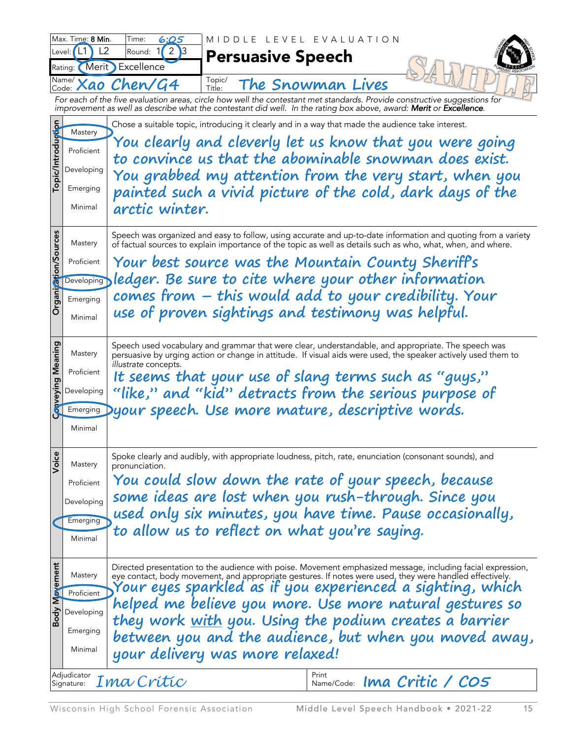|                      | Max. Time: 8 Min.<br>L <sub>2</sub><br>'L1<br>Level: | Time:<br>6:Q5<br>2<br>ıЗ<br>Round: | LEVEL                           | EVALUATION                                                                                                         |                                                                                                                                                                                                                                                                                       |
|----------------------|------------------------------------------------------|------------------------------------|---------------------------------|--------------------------------------------------------------------------------------------------------------------|---------------------------------------------------------------------------------------------------------------------------------------------------------------------------------------------------------------------------------------------------------------------------------------|
|                      | Rating: Merit                                        | Excellence                         | <b>Persuasive Speech</b>        |                                                                                                                    |                                                                                                                                                                                                                                                                                       |
|                      | Name/<br>Code:                                       | Xao Chen/G4                        | Topic/<br>Title:                | The Snowman Lives                                                                                                  |                                                                                                                                                                                                                                                                                       |
|                      |                                                      |                                    |                                 | improvement as well as describe what the contestant did well. In the rating box above, award: Merit or Excellence. | For each of the five evaluation areas, circle how well the contestant met standards. Provide constructive suggestions for                                                                                                                                                             |
|                      |                                                      |                                    |                                 | Chose a suitable topic, introducing it clearly and in a way that made the audience take interest.                  |                                                                                                                                                                                                                                                                                       |
|                      | Mastery                                              |                                    |                                 |                                                                                                                    | You clearly and cleverly let us know that you were going                                                                                                                                                                                                                              |
|                      | Proficient                                           |                                    |                                 |                                                                                                                    | to convince us that the abominable snowman does exist.                                                                                                                                                                                                                                |
| Topic/Introduction   | Developing                                           |                                    |                                 |                                                                                                                    | You grabbed my attention from the very start, when you                                                                                                                                                                                                                                |
|                      | Emerging                                             |                                    |                                 |                                                                                                                    | painted such a vivid picture of the cold, dark days of the                                                                                                                                                                                                                            |
|                      | Minimal                                              | arctic winter.                     |                                 |                                                                                                                    |                                                                                                                                                                                                                                                                                       |
| Organization/Sources | Mastery                                              |                                    |                                 |                                                                                                                    | Speech was organized and easy to follow, using accurate and up-to-date information and quoting from a variety<br>of factual sources to explain importance of the topic as well as details such as who, what, when, and where.                                                         |
|                      | Proficient                                           |                                    |                                 | Your best source was the Mountain County Sheriff's                                                                 |                                                                                                                                                                                                                                                                                       |
|                      | Developing                                           |                                    |                                 | ledger. Be sure to cite where your other information                                                               |                                                                                                                                                                                                                                                                                       |
|                      | Emerging                                             |                                    |                                 |                                                                                                                    | comes from – this would add to your credibility. Your                                                                                                                                                                                                                                 |
|                      | Minimal                                              |                                    |                                 | use of proven sightings and testimony was helpful.                                                                 |                                                                                                                                                                                                                                                                                       |
| onveying Meaning     | Mastery<br>Proficient<br>Developing<br>Emerging      | illustrate concepts.               |                                 | It seems that your use of slang terms such as "guys,"<br>Dyour speech. Use more mature, descriptive words.         | Speech used vocabulary and grammar that were clear, understandable, and appropriate. The speech was<br>persuasive by urging action or change in attitude. If visual aids were used, the speaker actively used them to<br>"like," and "kid" detracts from the serious purpose of       |
|                      | Minimal                                              |                                    |                                 |                                                                                                                    |                                                                                                                                                                                                                                                                                       |
| Voice                | Mastery                                              | pronunciation.                     |                                 |                                                                                                                    | Spoke clearly and audibly, with appropriate loudness, pitch, rate, enunciation (consonant sounds), and                                                                                                                                                                                |
|                      | Proficient                                           |                                    |                                 |                                                                                                                    | You could slow down the rate of your speech, because                                                                                                                                                                                                                                  |
|                      | Developing                                           |                                    |                                 |                                                                                                                    | some ideas are lost when you rush-through. Since you                                                                                                                                                                                                                                  |
|                      | Emerging                                             |                                    |                                 |                                                                                                                    | used only six minutes, you have time. Pause occasionally,                                                                                                                                                                                                                             |
|                      | Minimal                                              |                                    |                                 | to allow us to reflect on what you're saying.                                                                      |                                                                                                                                                                                                                                                                                       |
| Movement             | Mastery                                              |                                    |                                 |                                                                                                                    | Directed presentation to the audience with poise. Movement emphasized message, including facial expression,<br>eye contact, body movement, and appropriate gestures. If notes were used, they were handled effectively.<br>Your eyes sparkled as if you experienced a sighting, which |
|                      | Proficient                                           |                                    |                                 |                                                                                                                    | helped me believe you more. Use more natural gestures so                                                                                                                                                                                                                              |
| Body                 | Developing                                           |                                    |                                 |                                                                                                                    | they work <u>with</u> you. Using the podium creates a barrier                                                                                                                                                                                                                         |
|                      | Emerging                                             |                                    |                                 |                                                                                                                    | between you and the audience, but when you moved away,                                                                                                                                                                                                                                |
|                      | Minimal                                              |                                    | your delivery was more relaxed! |                                                                                                                    |                                                                                                                                                                                                                                                                                       |
|                      | Adjudicator<br>Signature:                            | Ima Crític                         |                                 | Print                                                                                                              | $NamecCode:$ $Ima$ Critic / $COS$                                                                                                                                                                                                                                                     |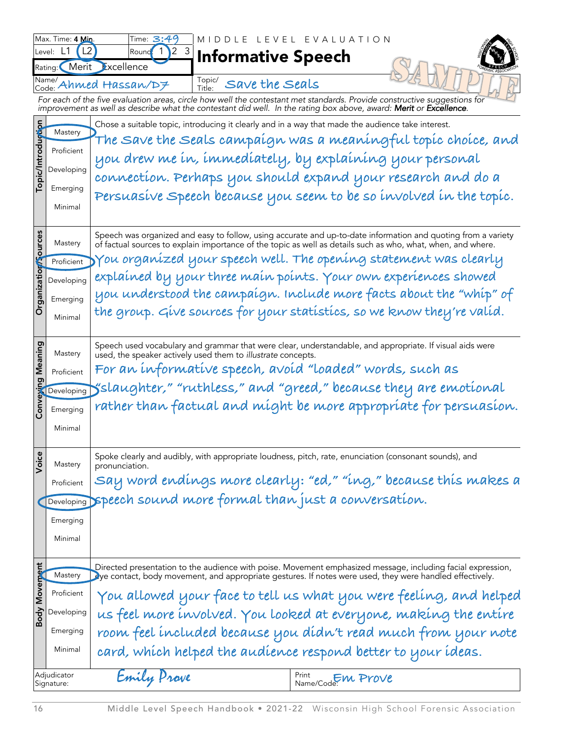|                                  | Max. Time: 4 Min.                | Time: $3:4^{\circ}$                                     | MIDDLE                                                       | LEVEL EVALUATION                                                                                                                                                                                                                 |
|----------------------------------|----------------------------------|---------------------------------------------------------|--------------------------------------------------------------|----------------------------------------------------------------------------------------------------------------------------------------------------------------------------------------------------------------------------------|
|                                  | L2<br>Level:<br>Merit<br>Rating: | $\overline{2}$<br>$\overline{3}$<br>Round<br>Excellence | <b>Informative Speech</b>                                    |                                                                                                                                                                                                                                  |
|                                  | Name/                            | Code: Ahmed Hassan/D7                                   | Topic/<br>Save the Seals                                     |                                                                                                                                                                                                                                  |
|                                  |                                  |                                                         | Title:                                                       | For each of the five evaluation areas, circle how well the contestant met standards. Provide constructive suggestions for<br>improvement as well as describe what the contestant did well. In the rating box above, award: Merit |
|                                  |                                  |                                                         |                                                              | Chose a suitable topic, introducing it clearly and in a way that made the audience take interest.                                                                                                                                |
|                                  | Mastery                          |                                                         |                                                              | The Save the Seals campaígn was a meaningful topic choice, and                                                                                                                                                                   |
|                                  | Proficient                       |                                                         |                                                              | you drew me in, immediately, by explaining your personal                                                                                                                                                                         |
| Topic/Introduction               | Developing                       |                                                         |                                                              | connection. Perhaps you should expand your research and do a                                                                                                                                                                     |
|                                  | Emerging                         |                                                         |                                                              | Persuasive Speech because you seem to be so involved in the topic.                                                                                                                                                               |
|                                  | Minimal                          |                                                         |                                                              |                                                                                                                                                                                                                                  |
|                                  |                                  |                                                         |                                                              |                                                                                                                                                                                                                                  |
| Organization <sup>2</sup> ources | Mastery                          |                                                         |                                                              | Speech was organized and easy to follow, using accurate and up-to-date information and quoting from a variety<br>of factual sources to explain importance of the topic as well as details such as who, what, when, and where.    |
|                                  | Proficient                       |                                                         |                                                              | You organized your speech well. The opening statement was clearly                                                                                                                                                                |
|                                  | Developing                       |                                                         |                                                              | explained by your three main points. Your own experiences showed                                                                                                                                                                 |
|                                  | Emerging                         |                                                         |                                                              | you understood the campaígn. Include more facts about the "whip" of                                                                                                                                                              |
|                                  | Minimal                          |                                                         |                                                              | the group. Give sources for your statistics, so we know they're valid.                                                                                                                                                           |
|                                  |                                  |                                                         |                                                              |                                                                                                                                                                                                                                  |
| Meaning                          | Mastery                          |                                                         | used, the speaker actively used them to illustrate concepts. | Speech used vocabulary and grammar that were clear, understandable, and appropriate. If visual aids were                                                                                                                         |
|                                  | Proficient                       |                                                         |                                                              | For an informative speech, avoid "loaded" words, such as                                                                                                                                                                         |
|                                  | Developing                       |                                                         |                                                              | yslaughter," "ruthless," and "greed," because they are emotional                                                                                                                                                                 |
| Conveying                        | Emerging                         |                                                         |                                                              | rather than factual and míght be more appropríate for persuasíon.                                                                                                                                                                |
|                                  | Minimal                          |                                                         |                                                              |                                                                                                                                                                                                                                  |
|                                  |                                  |                                                         |                                                              |                                                                                                                                                                                                                                  |
| Voice                            | Mastery                          | pronunciation.                                          |                                                              | Spoke clearly and audibly, with appropriate loudness, pitch, rate, enunciation (consonant sounds), and                                                                                                                           |
|                                  | Proficient                       |                                                         |                                                              | Say word endings more clearly: "ed," "ing," because this makes a                                                                                                                                                                 |
|                                  | Developing                       |                                                         |                                                              | speech sound more formal than just a conversation.                                                                                                                                                                               |
|                                  | Emerging                         |                                                         |                                                              |                                                                                                                                                                                                                                  |
|                                  | Minimal                          |                                                         |                                                              |                                                                                                                                                                                                                                  |
|                                  |                                  |                                                         |                                                              |                                                                                                                                                                                                                                  |
| Body Movement                    | Mastery                          |                                                         |                                                              | Directed presentation to the audience with poise. Movement emphasized message, including facial expression,<br>Dye contact, body movement, and appropriate gestures. If notes were used, they were handled effectively.          |
|                                  | Proficient                       |                                                         |                                                              | You allowed your face to tell us what you were feeling, and helped                                                                                                                                                               |
|                                  | Developing                       |                                                         |                                                              | us feel more involved. You looked at everyone, making the entire                                                                                                                                                                 |
|                                  | Emerging                         |                                                         |                                                              | room feel included because you didn't read much from your note                                                                                                                                                                   |
|                                  | Minimal                          |                                                         |                                                              | card, which helped the audience respond better to your ideas.                                                                                                                                                                    |
|                                  | Adjudicator<br>Signature:        | Emily Prave                                             |                                                              | Name/Code: M Prove                                                                                                                                                                                                               |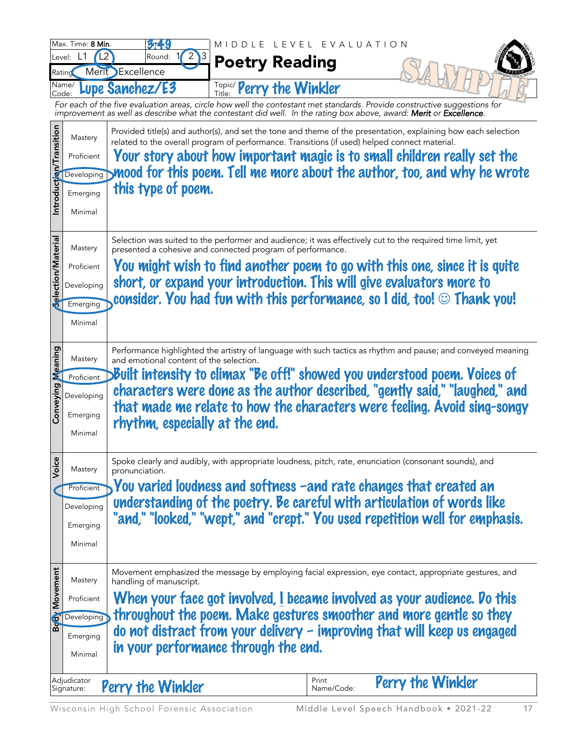|                         | Max. Time: 8 Min. | <b><i><u><b>Breek9</b></u></i></b>                                                                                                                                                                              | MIDDLE LEVEL EVALUATION  |            |                   |  |
|-------------------------|-------------------|-----------------------------------------------------------------------------------------------------------------------------------------------------------------------------------------------------------------|--------------------------|------------|-------------------|--|
|                         | Level: L1         | L2 <sup>1</sup><br>2<br>Round:                                                                                                                                                                                  | <b>Poetry Reading</b>    |            |                   |  |
|                         | Ratino<br>Name/   | Merit Excellence<br>Lupe Sanchez/E3                                                                                                                                                                             |                          |            |                   |  |
|                         | Code:             | For each of the five evaluation areas, circle how well the contestant met standards. Provide constructive suggestions for                                                                                       | Topic/ Perry the Winkler |            |                   |  |
|                         |                   | improvement as well as describe what the contestant did well. In the rating box above, award: Merit or Excellence.                                                                                              |                          |            |                   |  |
|                         | Mastery           | Provided title(s) and author(s), and set the tone and theme of the presentation, explaining how each selection<br>related to the overall program of performance. Transitions (if used) helped connect material. |                          |            |                   |  |
|                         | Proficient        | Your story about how important magic is to small children really set the                                                                                                                                        |                          |            |                   |  |
|                         | Developing        | ynood for this poem. Tell me more about the author, too, and why he wrote                                                                                                                                       |                          |            |                   |  |
| Introduction/Transition | Emerging          | this type of poem.                                                                                                                                                                                              |                          |            |                   |  |
|                         | Minimal           |                                                                                                                                                                                                                 |                          |            |                   |  |
|                         |                   |                                                                                                                                                                                                                 |                          |            |                   |  |
| Selection/Material      | Mastery           | Selection was suited to the performer and audience; it was effectively cut to the required time limit, yet<br>presented a cohesive and connected program of performance.                                        |                          |            |                   |  |
|                         | Proficient        | You might wish to find another poem to go with this one, since it is quite                                                                                                                                      |                          |            |                   |  |
|                         | Developing        | short, or expand your introduction. This will give evaluators more to                                                                                                                                           |                          |            |                   |  |
|                         | Emerging          | consider. You had fun with this performance, so I did, too! $\odot$ Thank you!                                                                                                                                  |                          |            |                   |  |
|                         | Minimal           |                                                                                                                                                                                                                 |                          |            |                   |  |
|                         |                   |                                                                                                                                                                                                                 |                          |            |                   |  |
| Meaning                 | Mastery           | Performance highlighted the artistry of language with such tactics as rhythm and pause; and conveyed meaning<br>and emotional content of the selection.                                                         |                          |            |                   |  |
|                         | Proficient        | >Built intensity to climax "Be off!" showed you understood poem. Voices of                                                                                                                                      |                          |            |                   |  |
|                         | Developing        | characters were done as the author described, "gently said," "laughed," and                                                                                                                                     |                          |            |                   |  |
| Conveying               | Emerging          | that made me relate to how the characters were feeling. Avoid sing-songy                                                                                                                                        |                          |            |                   |  |
|                         | Minimal           | rhythm, especially at the end.                                                                                                                                                                                  |                          |            |                   |  |
|                         |                   |                                                                                                                                                                                                                 |                          |            |                   |  |
| Voice                   | Mastery           | Spoke clearly and audibly, with appropriate loudness, pitch, rate, enunciation (consonant sounds), and<br>pronunciation.                                                                                        |                          |            |                   |  |
|                         | Proficient        | You varied loudness and softness -and rate changes that created an                                                                                                                                              |                          |            |                   |  |
|                         | Developing        | understanding of the poetry. Be careful with articulation of words like                                                                                                                                         |                          |            |                   |  |
|                         | Emerging          | "and," "looked," "wept," and "crept." You used repetition well for emphasis.                                                                                                                                    |                          |            |                   |  |
|                         | Minimal           |                                                                                                                                                                                                                 |                          |            |                   |  |
|                         |                   |                                                                                                                                                                                                                 |                          |            |                   |  |
| Body Movement           | Mastery           | Movement emphasized the message by employing facial expression, eye contact, appropriate gestures, and<br>handling of manuscript.                                                                               |                          |            |                   |  |
|                         | Proficient        | When your face got involved, I became involved as your audience. Do this                                                                                                                                        |                          |            |                   |  |
|                         | Developing        | throughout the poem. Make gestures smoother and more gentle so they                                                                                                                                             |                          |            |                   |  |
|                         | Emerging          | do not distract from your delivery $-$ improving that will keep us engaged                                                                                                                                      |                          |            |                   |  |
|                         | Minimal           | in your performance through the end.                                                                                                                                                                            |                          |            |                   |  |
|                         | Adjudicator       |                                                                                                                                                                                                                 |                          | Print      |                   |  |
|                         | Signature:        | Perry the Winkler                                                                                                                                                                                               |                          | Name/Code: | Perry the Winkler |  |